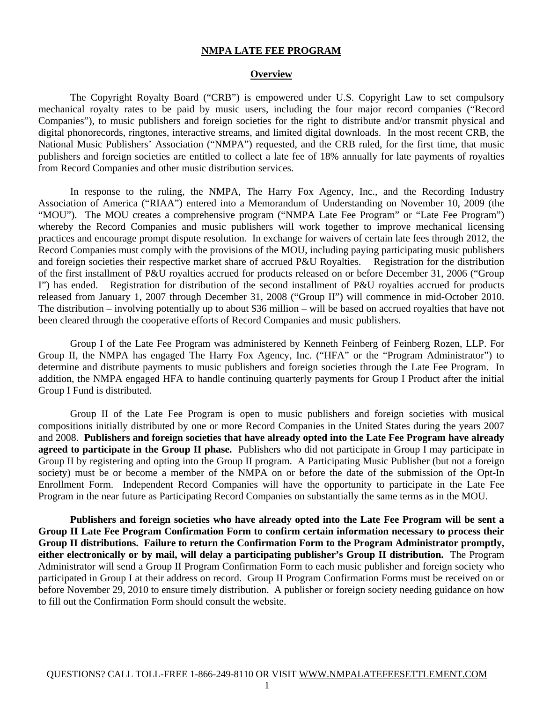#### **NMPA LATE FEE PROGRAM**

#### **Overview**

 The Copyright Royalty Board ("CRB") is empowered under U.S. Copyright Law to set compulsory mechanical royalty rates to be paid by music users, including the four major record companies ("Record Companies"), to music publishers and foreign societies for the right to distribute and/or transmit physical and digital phonorecords, ringtones, interactive streams, and limited digital downloads. In the most recent CRB, the National Music Publishers' Association ("NMPA") requested, and the CRB ruled, for the first time, that music publishers and foreign societies are entitled to collect a late fee of 18% annually for late payments of royalties from Record Companies and other music distribution services.

 In response to the ruling, the NMPA, The Harry Fox Agency, Inc., and the Recording Industry Association of America ("RIAA") entered into a Memorandum of Understanding on November 10, 2009 (the "MOU"). The MOU creates a comprehensive program ("NMPA Late Fee Program" or "Late Fee Program") whereby the Record Companies and music publishers will work together to improve mechanical licensing practices and encourage prompt dispute resolution. In exchange for waivers of certain late fees through 2012, the Record Companies must comply with the provisions of the MOU, including paying participating music publishers and foreign societies their respective market share of accrued P&U Royalties. Registration for the distribution of the first installment of P&U royalties accrued for products released on or before December 31, 2006 ("Group I") has ended. Registration for distribution of the second installment of P&U royalties accrued for products released from January 1, 2007 through December 31, 2008 ("Group II") will commence in mid-October 2010. The distribution – involving potentially up to about \$36 million – will be based on accrued royalties that have not been cleared through the cooperative efforts of Record Companies and music publishers.

 Group I of the Late Fee Program was administered by Kenneth Feinberg of Feinberg Rozen, LLP. For Group II, the NMPA has engaged The Harry Fox Agency, Inc. ("HFA" or the "Program Administrator") to determine and distribute payments to music publishers and foreign societies through the Late Fee Program. In addition, the NMPA engaged HFA to handle continuing quarterly payments for Group I Product after the initial Group I Fund is distributed.

 Group II of the Late Fee Program is open to music publishers and foreign societies with musical compositions initially distributed by one or more Record Companies in the United States during the years 2007 and 2008. **Publishers and foreign societies that have already opted into the Late Fee Program have already agreed to participate in the Group II phase.** Publishers who did not participate in Group I may participate in Group II by registering and opting into the Group II program. A Participating Music Publisher (but not a foreign society) must be or become a member of the NMPA on or before the date of the submission of the Opt-In Enrollment Form. Independent Record Companies will have the opportunity to participate in the Late Fee Program in the near future as Participating Record Companies on substantially the same terms as in the MOU.

**Publishers and foreign societies who have already opted into the Late Fee Program will be sent a Group II Late Fee Program Confirmation Form to confirm certain information necessary to process their Group II distributions. Failure to return the Confirmation Form to the Program Administrator promptly, either electronically or by mail, will delay a participating publisher's Group II distribution.** The Program Administrator will send a Group II Program Confirmation Form to each music publisher and foreign society who participated in Group I at their address on record. Group II Program Confirmation Forms must be received on or before November 29, 2010 to ensure timely distribution. A publisher or foreign society needing guidance on how to fill out the Confirmation Form should consult the website.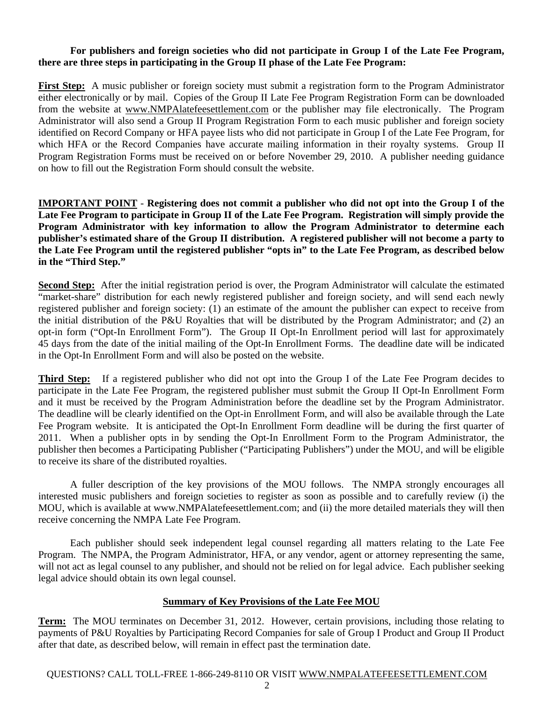# **For publishers and foreign societies who did not participate in Group I of the Late Fee Program, there are three steps in participating in the Group II phase of the Late Fee Program:**

**First Step:** A music publisher or foreign society must submit a registration form to the Program Administrator either electronically or by mail. Copies of the Group II Late Fee Program Registration Form can be downloaded from the website at www.NMPAlatefeesettlement.com or the publisher may file electronically. The Program Administrator will also send a Group II Program Registration Form to each music publisher and foreign society identified on Record Company or HFA payee lists who did not participate in Group I of the Late Fee Program, for which HFA or the Record Companies have accurate mailing information in their royalty systems. Group II Program Registration Forms must be received on or before November 29, 2010. A publisher needing guidance on how to fill out the Registration Form should consult the website.

**IMPORTANT POINT** - **Registering does not commit a publisher who did not opt into the Group I of the Late Fee Program to participate in Group II of the Late Fee Program. Registration will simply provide the Program Administrator with key information to allow the Program Administrator to determine each publisher's estimated share of the Group II distribution. A registered publisher will not become a party to the Late Fee Program until the registered publisher "opts in" to the Late Fee Program, as described below in the "Third Step."** 

**Second Step:** After the initial registration period is over, the Program Administrator will calculate the estimated "market-share" distribution for each newly registered publisher and foreign society, and will send each newly registered publisher and foreign society: (1) an estimate of the amount the publisher can expect to receive from the initial distribution of the P&U Royalties that will be distributed by the Program Administrator; and (2) an opt-in form ("Opt-In Enrollment Form"). The Group II Opt-In Enrollment period will last for approximately 45 days from the date of the initial mailing of the Opt-In Enrollment Forms. The deadline date will be indicated in the Opt-In Enrollment Form and will also be posted on the website.

**Third Step:** If a registered publisher who did not opt into the Group I of the Late Fee Program decides to participate in the Late Fee Program, the registered publisher must submit the Group II Opt-In Enrollment Form and it must be received by the Program Administration before the deadline set by the Program Administrator. The deadline will be clearly identified on the Opt-in Enrollment Form, and will also be available through the Late Fee Program website. It is anticipated the Opt-In Enrollment Form deadline will be during the first quarter of 2011. When a publisher opts in by sending the Opt-In Enrollment Form to the Program Administrator, the publisher then becomes a Participating Publisher ("Participating Publishers") under the MOU, and will be eligible to receive its share of the distributed royalties.

 A fuller description of the key provisions of the MOU follows. The NMPA strongly encourages all interested music publishers and foreign societies to register as soon as possible and to carefully review (i) the MOU, which is available at www.NMPAlatefeesettlement.com; and (ii) the more detailed materials they will then receive concerning the NMPA Late Fee Program.

 Each publisher should seek independent legal counsel regarding all matters relating to the Late Fee Program. The NMPA, the Program Administrator, HFA, or any vendor, agent or attorney representing the same, will not act as legal counsel to any publisher, and should not be relied on for legal advice. Each publisher seeking legal advice should obtain its own legal counsel.

# **Summary of Key Provisions of the Late Fee MOU**

**Term:** The MOU terminates on December 31, 2012. However, certain provisions, including those relating to payments of P&U Royalties by Participating Record Companies for sale of Group I Product and Group II Product after that date, as described below, will remain in effect past the termination date.

### QUESTIONS? CALL TOLL-FREE 1-866-249-8110 OR VISIT WWW.NMPALATEFEESETTLEMENT.COM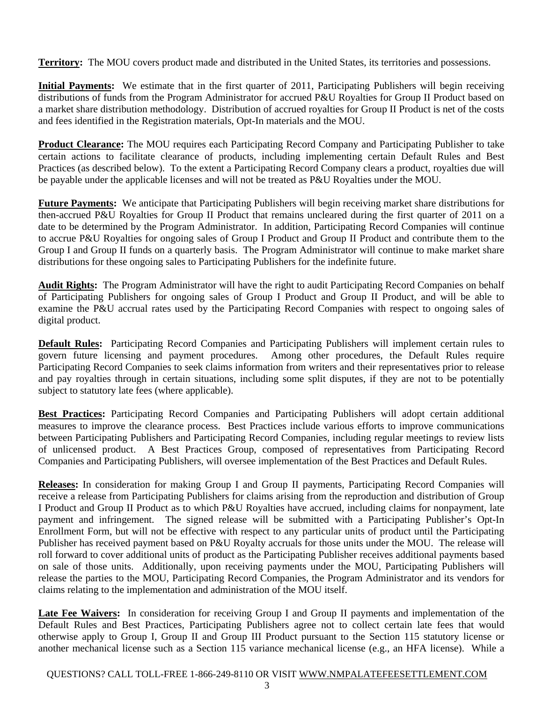**Territory:** The MOU covers product made and distributed in the United States, its territories and possessions.

**Initial Payments:** We estimate that in the first quarter of 2011, Participating Publishers will begin receiving distributions of funds from the Program Administrator for accrued P&U Royalties for Group II Product based on a market share distribution methodology. Distribution of accrued royalties for Group II Product is net of the costs and fees identified in the Registration materials, Opt-In materials and the MOU.

**Product Clearance:** The MOU requires each Participating Record Company and Participating Publisher to take certain actions to facilitate clearance of products, including implementing certain Default Rules and Best Practices (as described below). To the extent a Participating Record Company clears a product, royalties due will be payable under the applicable licenses and will not be treated as P&U Royalties under the MOU.

**Future Payments:** We anticipate that Participating Publishers will begin receiving market share distributions for then-accrued P&U Royalties for Group II Product that remains uncleared during the first quarter of 2011 on a date to be determined by the Program Administrator. In addition, Participating Record Companies will continue to accrue P&U Royalties for ongoing sales of Group I Product and Group II Product and contribute them to the Group I and Group II funds on a quarterly basis. The Program Administrator will continue to make market share distributions for these ongoing sales to Participating Publishers for the indefinite future.

**Audit Rights:** The Program Administrator will have the right to audit Participating Record Companies on behalf of Participating Publishers for ongoing sales of Group I Product and Group II Product, and will be able to examine the P&U accrual rates used by the Participating Record Companies with respect to ongoing sales of digital product.

**Default Rules:** Participating Record Companies and Participating Publishers will implement certain rules to govern future licensing and payment procedures. Among other procedures, the Default Rules require Participating Record Companies to seek claims information from writers and their representatives prior to release and pay royalties through in certain situations, including some split disputes, if they are not to be potentially subject to statutory late fees (where applicable).

**Best Practices:** Participating Record Companies and Participating Publishers will adopt certain additional measures to improve the clearance process. Best Practices include various efforts to improve communications between Participating Publishers and Participating Record Companies, including regular meetings to review lists of unlicensed product. A Best Practices Group, composed of representatives from Participating Record Companies and Participating Publishers, will oversee implementation of the Best Practices and Default Rules.

**Releases:** In consideration for making Group I and Group II payments, Participating Record Companies will receive a release from Participating Publishers for claims arising from the reproduction and distribution of Group I Product and Group II Product as to which P&U Royalties have accrued, including claims for nonpayment, late payment and infringement. The signed release will be submitted with a Participating Publisher's Opt-In Enrollment Form, but will not be effective with respect to any particular units of product until the Participating Publisher has received payment based on P&U Royalty accruals for those units under the MOU. The release will roll forward to cover additional units of product as the Participating Publisher receives additional payments based on sale of those units. Additionally, upon receiving payments under the MOU, Participating Publishers will release the parties to the MOU, Participating Record Companies, the Program Administrator and its vendors for claims relating to the implementation and administration of the MOU itself.

**Late Fee Waivers:** In consideration for receiving Group I and Group II payments and implementation of the Default Rules and Best Practices, Participating Publishers agree not to collect certain late fees that would otherwise apply to Group I, Group II and Group III Product pursuant to the Section 115 statutory license or another mechanical license such as a Section 115 variance mechanical license (e.g., an HFA license). While a

QUESTIONS? CALL TOLL-FREE 1-866-249-8110 OR VISIT WWW.NMPALATEFEESETTLEMENT.COM